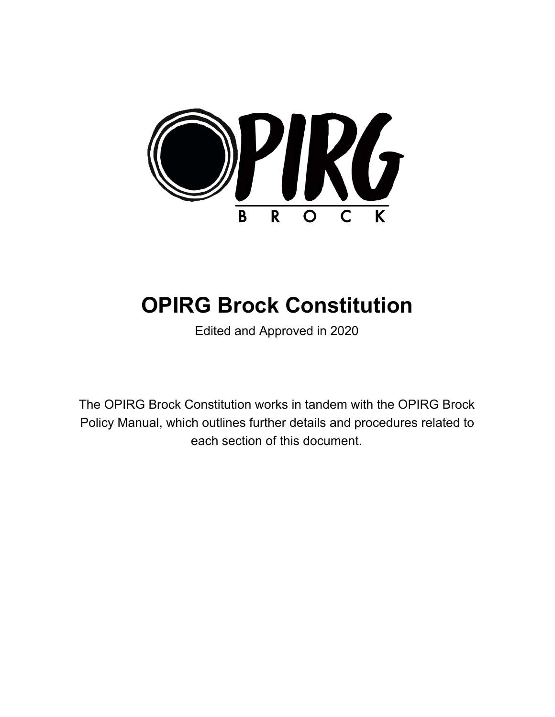

# **OPIRG Brock Constitution**

Edited and Approved in 2020

The OPIRG Brock Constitution works in tandem with the OPIRG Brock Policy Manual, which outlines further details and procedures related to each section of this document.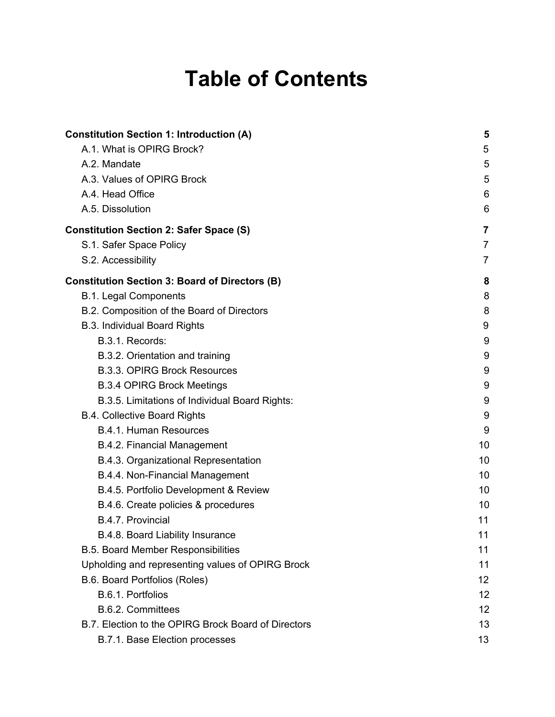# **Table of Contents**

| <b>Constitution Section 1: Introduction (A)</b>       | 5              |
|-------------------------------------------------------|----------------|
| A.1. What is OPIRG Brock?                             | 5              |
| A.2. Mandate                                          | 5              |
| A.3. Values of OPIRG Brock                            | 5              |
| A.4. Head Office                                      | 6              |
| A.5. Dissolution                                      | 6              |
| <b>Constitution Section 2: Safer Space (S)</b>        | 7              |
| S.1. Safer Space Policy                               | $\overline{7}$ |
| S.2. Accessibility                                    | $\overline{7}$ |
| <b>Constitution Section 3: Board of Directors (B)</b> | 8              |
| <b>B.1. Legal Components</b>                          | 8              |
| B.2. Composition of the Board of Directors            | 8              |
| <b>B.3. Individual Board Rights</b>                   | 9              |
| B.3.1. Records:                                       | 9              |
| B.3.2. Orientation and training                       | 9              |
| <b>B.3.3. OPIRG Brock Resources</b>                   | 9              |
| <b>B.3.4 OPIRG Brock Meetings</b>                     | 9              |
| B.3.5. Limitations of Individual Board Rights:        | 9              |
| <b>B.4. Collective Board Rights</b>                   | 9              |
| B.4.1. Human Resources                                | 9              |
| B.4.2. Financial Management                           | 10             |
| B.4.3. Organizational Representation                  | 10             |
| B.4.4. Non-Financial Management                       | 10             |
| B.4.5. Portfolio Development & Review                 | 10             |
| B.4.6. Create policies & procedures                   | 10             |
| B.4.7. Provincial                                     | 11             |
| B.4.8. Board Liability Insurance                      | 11             |
| <b>B.5. Board Member Responsibilities</b>             | 11             |
| Upholding and representing values of OPIRG Brock      | 11             |
| B.6. Board Portfolios (Roles)                         | 12             |
| B.6.1. Portfolios                                     | 12             |
| B.6.2. Committees                                     | 12             |
| B.7. Election to the OPIRG Brock Board of Directors   | 13             |
| B.7.1. Base Election processes                        | 13             |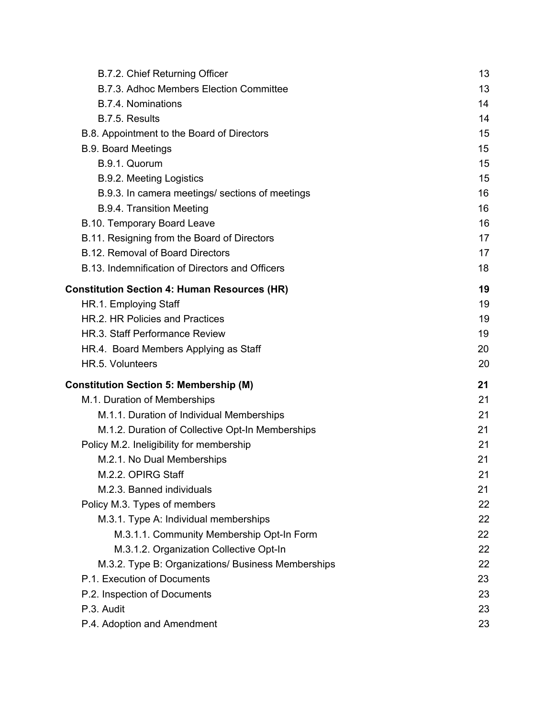| B.7.2. Chief Returning Officer                      | 13 |
|-----------------------------------------------------|----|
| B.7.3. Adhoc Members Election Committee             | 13 |
| B.7.4. Nominations                                  | 14 |
| B.7.5. Results                                      | 14 |
| B.8. Appointment to the Board of Directors          | 15 |
| <b>B.9. Board Meetings</b>                          | 15 |
| B.9.1. Quorum                                       | 15 |
| <b>B.9.2. Meeting Logistics</b>                     | 15 |
| B.9.3. In camera meetings/ sections of meetings     | 16 |
| <b>B.9.4. Transition Meeting</b>                    | 16 |
| B.10. Temporary Board Leave                         | 16 |
| B.11. Resigning from the Board of Directors         | 17 |
| B.12. Removal of Board Directors                    | 17 |
| B.13. Indemnification of Directors and Officers     | 18 |
| <b>Constitution Section 4: Human Resources (HR)</b> | 19 |
| HR.1. Employing Staff                               | 19 |
| HR.2. HR Policies and Practices                     | 19 |
| HR.3. Staff Performance Review                      | 19 |
| HR.4. Board Members Applying as Staff               | 20 |
| HR.5. Volunteers                                    | 20 |
|                                                     |    |
| <b>Constitution Section 5: Membership (M)</b>       | 21 |
| M.1. Duration of Memberships                        | 21 |
| M.1.1. Duration of Individual Memberships           | 21 |
| M.1.2. Duration of Collective Opt-In Memberships    | 21 |
| Policy M.2. Ineligibility for membership            | 21 |
| M.2.1. No Dual Memberships                          | 21 |
| M.2.2. OPIRG Staff                                  | 21 |
| M.2.3. Banned individuals                           | 21 |
| Policy M.3. Types of members                        | 22 |
| M.3.1. Type A: Individual memberships               | 22 |
| M.3.1.1. Community Membership Opt-In Form           | 22 |
| M.3.1.2. Organization Collective Opt-In             | 22 |
| M.3.2. Type B: Organizations/ Business Memberships  | 22 |
| P.1. Execution of Documents                         | 23 |
| P.2. Inspection of Documents                        | 23 |
| P.3. Audit                                          | 23 |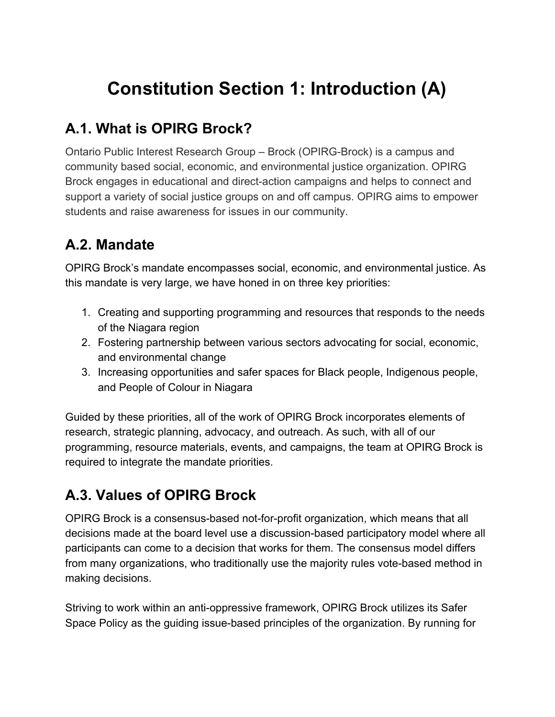## <span id="page-3-0"></span>**Constitution Section 1: Introduction (A)**

### <span id="page-3-1"></span>**A.1. What is OPIRG Brock?**

Ontario Public Interest Research Group – Brock (OPIRG-Brock) is a campus and community based social, economic, and environmental justice organization. OPIRG Brock engages in educational and direct-action campaigns and helps to connect and support a variety of social justice groups on and off campus. OPIRG aims to empower students and raise awareness for issues in our community.

### <span id="page-3-2"></span>**A.2. Mandate**

OPIRG Brock's mandate encompasses social, economic, and environmental justice. As this mandate is very large, we have honed in on three key priorities:

- 1. Creating and supporting programming and resources that responds to the needs of the Niagara region
- 2. Fostering partnership between various sectors advocating for social, economic, and environmental change
- 3. Increasing opportunities and safer spaces for Black people, Indigenous people, and People of Colour in Niagara

Guided by these priorities, all of the work of OPIRG Brock incorporates elements of research, strategic planning, advocacy, and outreach. As such, with all of our programming, resource materials, events, and campaigns, the team at OPIRG Brock is required to integrate the mandate priorities.

### <span id="page-3-3"></span>**A.3. Values of OPIRG Brock**

OPIRG Brock is a consensus-based not-for-profit organization, which means that all decisions made at the board level use a discussion-based participatory model where all participants can come to a decision that works for them. The consensus model differs from many organizations, who traditionally use the majority rules vote-based method in making decisions.

Striving to work within an anti-oppressive framework, OPIRG Brock utilizes its Safer Space Policy as the guiding issue-based principles of the organization. By running for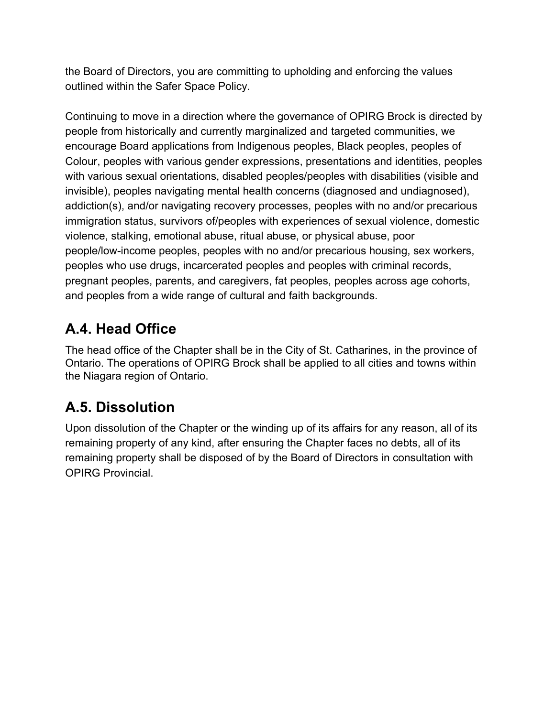the Board of Directors, you are committing to upholding and enforcing the values outlined within the Safer Space Policy.

Continuing to move in a direction where the governance of OPIRG Brock is directed by people from historically and currently marginalized and targeted communities, we encourage Board applications from Indigenous peoples, Black peoples, peoples of Colour, peoples with various gender expressions, presentations and identities, peoples with various sexual orientations, disabled peoples/peoples with disabilities (visible and invisible), peoples navigating mental health concerns (diagnosed and undiagnosed), addiction(s), and/or navigating recovery processes, peoples with no and/or precarious immigration status, survivors of/peoples with experiences of sexual violence, domestic violence, stalking, emotional abuse, ritual abuse, or physical abuse, poor people/low-income peoples, peoples with no and/or precarious housing, sex workers, peoples who use drugs, incarcerated peoples and peoples with criminal records, pregnant peoples, parents, and caregivers, fat peoples, peoples across age cohorts, and peoples from a wide range of cultural and faith backgrounds.

### <span id="page-4-0"></span>**A.4. Head Office**

The head office of the Chapter shall be in the City of St. Catharines, in the province of Ontario. The operations of OPIRG Brock shall be applied to all cities and towns within the Niagara region of Ontario.

### <span id="page-4-1"></span>**A.5. Dissolution**

Upon dissolution of the Chapter or the winding up of its affairs for any reason, all of its remaining property of any kind, after ensuring the Chapter faces no debts, all of its remaining property shall be disposed of by the Board of Directors in consultation with OPIRG Provincial.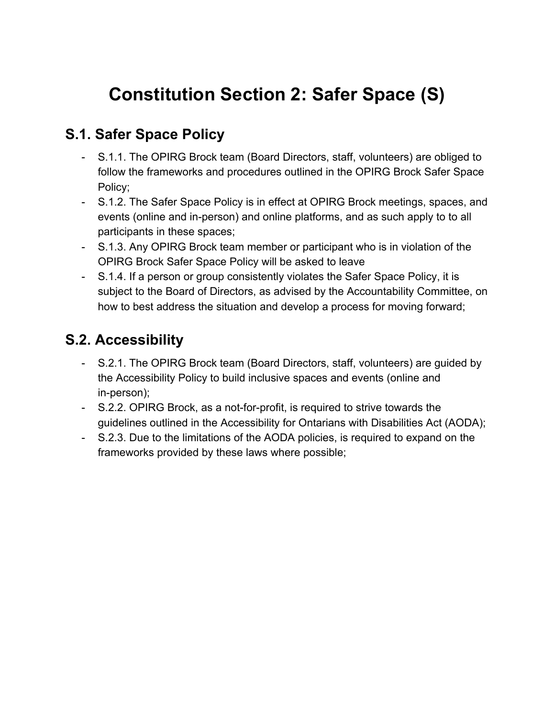## <span id="page-5-0"></span>**Constitution Section 2: Safer Space (S)**

### <span id="page-5-1"></span>**S.1. Safer Space Policy**

- S.1.1. The OPIRG Brock team (Board Directors, staff, volunteers) are obliged to follow the frameworks and procedures outlined in the OPIRG Brock Safer Space Policy;
- S.1.2. The Safer Space Policy is in effect at OPIRG Brock meetings, spaces, and events (online and in-person) and online platforms, and as such apply to to all participants in these spaces;
- S.1.3. Any OPIRG Brock team member or participant who is in violation of the OPIRG Brock Safer Space Policy will be asked to leave
- S.1.4. If a person or group consistently violates the Safer Space Policy, it is subject to the Board of Directors, as advised by the Accountability Committee, on how to best address the situation and develop a process for moving forward;

### <span id="page-5-2"></span>**S.2. Accessibility**

- S.2.1. The OPIRG Brock team (Board Directors, staff, volunteers) are guided by the Accessibility Policy to build inclusive spaces and events (online and in-person);
- S.2.2. OPIRG Brock, as a not-for-profit, is required to strive towards the guidelines outlined in the Accessibility for Ontarians with Disabilities Act (AODA);
- S.2.3. Due to the limitations of the AODA policies, is required to expand on the frameworks provided by these laws where possible;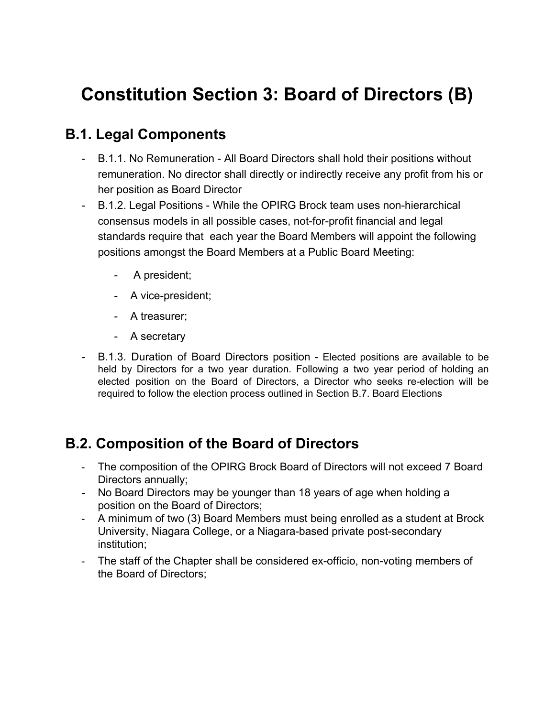## <span id="page-6-0"></span>**Constitution Section 3: Board of Directors (B)**

### <span id="page-6-1"></span>**B.1. Legal Components**

- B.1.1. No Remuneration All Board Directors shall hold their positions without remuneration. No director shall directly or indirectly receive any profit from his or her position as Board Director
- B.1.2. Legal Positions While the OPIRG Brock team uses non-hierarchical consensus models in all possible cases, not-for-profit financial and legal standards require that each year the Board Members will appoint the following positions amongst the Board Members at a Public Board Meeting:
	- A president;
	- A vice-president;
	- A treasurer;
	- A secretary
- B.1.3. Duration of Board Directors position Elected positions are available to be held by Directors for a two year duration. Following a two year period of holding an elected position on the Board of Directors, a Director who seeks re-election will be required to follow the election process outlined in Section B.7. Board Elections

### <span id="page-6-2"></span>**B.2. Composition of the Board of Directors**

- The composition of the OPIRG Brock Board of Directors will not exceed 7 Board Directors annually;
- No Board Directors may be younger than 18 years of age when holding a position on the Board of Directors;
- A minimum of two (3) Board Members must being enrolled as a student at Brock University, Niagara College, or a Niagara-based private post-secondary institution;
- The staff of the Chapter shall be considered ex-officio, non-voting members of the Board of Directors;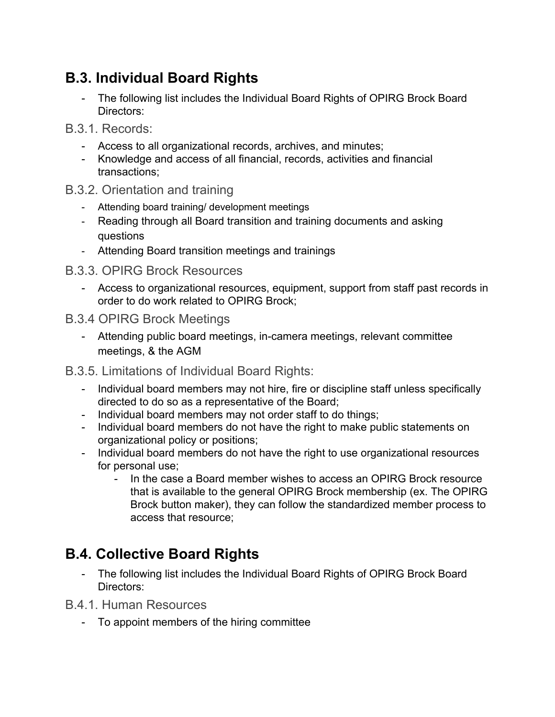### <span id="page-7-0"></span>**B.3. Individual Board Rights**

- The following list includes the Individual Board Rights of OPIRG Brock Board Directors:
- <span id="page-7-1"></span>B.3.1. Records:
	- Access to all organizational records, archives, and minutes;
	- Knowledge and access of all financial, records, activities and financial transactions;
- <span id="page-7-2"></span>B.3.2. Orientation and training
	- Attending board training/ development meetings
	- Reading through all Board transition and training documents and asking questions
	- Attending Board transition meetings and trainings
- <span id="page-7-3"></span>B.3.3. OPIRG Brock Resources
	- Access to organizational resources, equipment, support from staff past records in order to do work related to OPIRG Brock;
- <span id="page-7-4"></span>B.3.4 OPIRG Brock Meetings
	- Attending public board meetings, in-camera meetings, relevant committee meetings, & the AGM
- <span id="page-7-5"></span>B.3.5. Limitations of Individual Board Rights:
	- Individual board members may not hire, fire or discipline staff unless specifically directed to do so as a representative of the Board;
	- Individual board members may not order staff to do things;
	- Individual board members do not have the right to make public statements on organizational policy or positions;
	- Individual board members do not have the right to use organizational resources for personal use;
		- In the case a Board member wishes to access an OPIRG Brock resource that is available to the general OPIRG Brock membership (ex. The OPIRG Brock button maker), they can follow the standardized member process to access that resource;

### <span id="page-7-6"></span>**B.4. Collective Board Rights**

- The following list includes the Individual Board Rights of OPIRG Brock Board Directors:
- <span id="page-7-7"></span>B.4.1. Human Resources
	- To appoint members of the hiring committee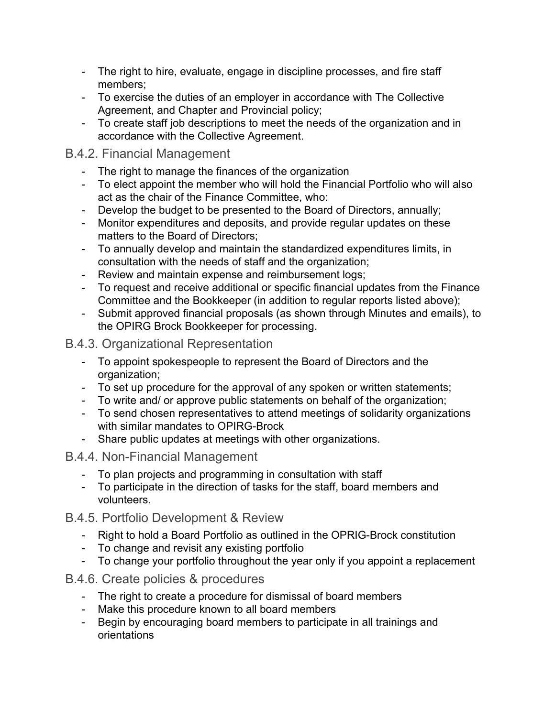- The right to hire, evaluate, engage in discipline processes, and fire staff members;
- To exercise the duties of an employer in accordance with The Collective Agreement, and Chapter and Provincial policy;
- To create staff job descriptions to meet the needs of the organization and in accordance with the Collective Agreement.

#### <span id="page-8-0"></span>B.4.2. Financial Management

- The right to manage the finances of the organization
- To elect appoint the member who will hold the Financial Portfolio who will also act as the chair of the Finance Committee, who:
- Develop the budget to be presented to the Board of Directors, annually;
- Monitor expenditures and deposits, and provide regular updates on these matters to the Board of Directors;
- To annually develop and maintain the standardized expenditures limits, in consultation with the needs of staff and the organization;
- Review and maintain expense and reimbursement logs;
- To request and receive additional or specific financial updates from the Finance Committee and the Bookkeeper (in addition to regular reports listed above);
- Submit approved financial proposals (as shown through Minutes and emails), to the OPIRG Brock Bookkeeper for processing.

<span id="page-8-1"></span>B.4.3. Organizational Representation

- To appoint spokespeople to represent the Board of Directors and the organization;
- To set up procedure for the approval of any spoken or written statements;
- To write and/ or approve public statements on behalf of the organization;
- To send chosen representatives to attend meetings of solidarity organizations with similar mandates to OPIRG-Brock
- Share public updates at meetings with other organizations.
- <span id="page-8-2"></span>B.4.4. Non-Financial Management
	- To plan projects and programming in consultation with staff
	- To participate in the direction of tasks for the staff, board members and volunteers.

#### <span id="page-8-3"></span>B.4.5. Portfolio Development & Review

- Right to hold a Board Portfolio as outlined in the OPRIG-Brock constitution
- To change and revisit any existing portfolio
- To change your portfolio throughout the year only if you appoint a replacement

#### <span id="page-8-4"></span>B.4.6. Create policies & procedures

- The right to create a procedure for dismissal of board members
- Make this procedure known to all board members
- Begin by encouraging board members to participate in all trainings and orientations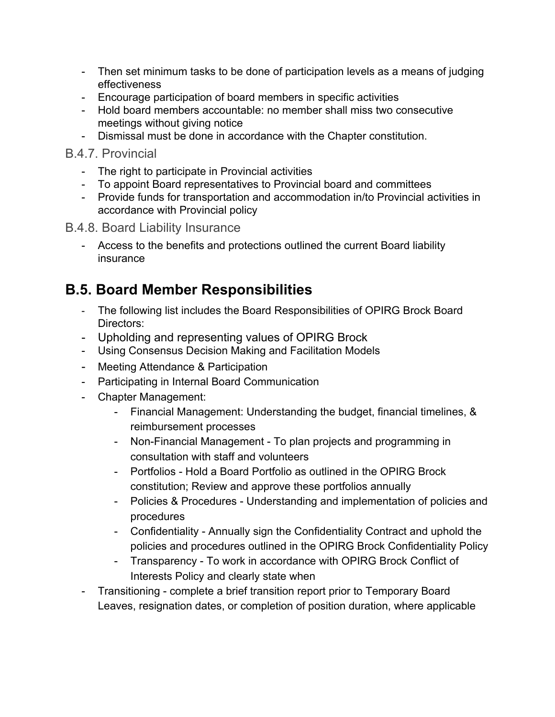- Then set minimum tasks to be done of participation levels as a means of judging effectiveness
- Encourage participation of board members in specific activities
- Hold board members accountable: no member shall miss two consecutive meetings without giving notice
- Dismissal must be done in accordance with the Chapter constitution.

#### <span id="page-9-0"></span>B.4.7. Provincial

- The right to participate in Provincial activities
- To appoint Board representatives to Provincial board and committees
- Provide funds for transportation and accommodation in/to Provincial activities in accordance with Provincial policy
- <span id="page-9-1"></span>B.4.8. Board Liability Insurance
	- Access to the benefits and protections outlined the current Board liability insurance

### <span id="page-9-2"></span>**B.5. Board Member Responsibilities**

- The following list includes the Board Responsibilities of OPIRG Brock Board Directors:
- <span id="page-9-3"></span>- Upholding and representing values of OPIRG Brock
- Using Consensus Decision Making and Facilitation Models
- Meeting Attendance & Participation
- Participating in Internal Board Communication
- Chapter Management:
	- Financial Management: Understanding the budget, financial timelines, & reimbursement processes
	- Non-Financial Management To plan projects and programming in consultation with staff and volunteers
	- Portfolios Hold a Board Portfolio as outlined in the OPIRG Brock constitution; Review and approve these portfolios annually
	- Policies & Procedures Understanding and implementation of policies and procedures
	- Confidentiality Annually sign the Confidentiality Contract and uphold the policies and procedures outlined in the OPIRG Brock Confidentiality Policy
	- Transparency To work in accordance with OPIRG Brock Conflict of Interests Policy and clearly state when
- Transitioning complete a brief transition report prior to Temporary Board Leaves, resignation dates, or completion of position duration, where applicable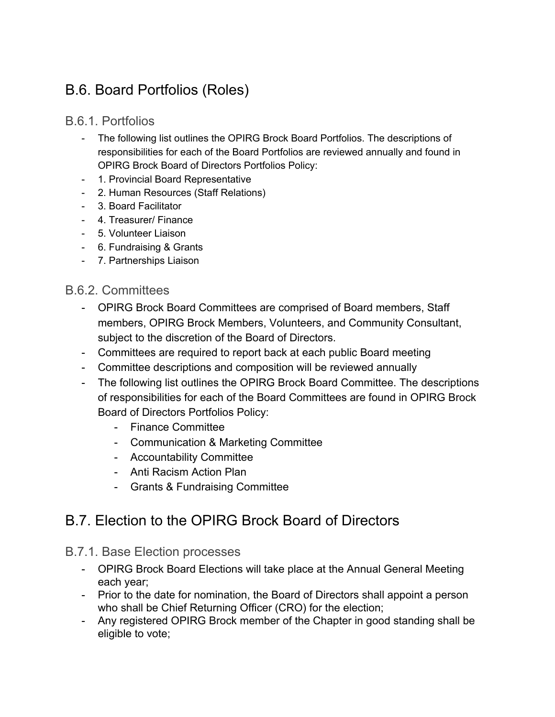### <span id="page-10-0"></span>B.6. Board Portfolios (Roles)

#### <span id="page-10-1"></span>B.6.1. Portfolios

- The following list outlines the OPIRG Brock Board Portfolios. The descriptions of responsibilities for each of the Board Portfolios are reviewed annually and found in OPIRG Brock Board of Directors Portfolios Policy:
- 1. Provincial Board Representative
- 2. Human Resources (Staff Relations)
- 3. Board Facilitator
- 4. Treasurer/ Finance
- 5. Volunteer Liaison
- 6. Fundraising & Grants
- 7. Partnerships Liaison

#### <span id="page-10-2"></span>B.6.2. Committees

- OPIRG Brock Board Committees are comprised of Board members, Staff members, OPIRG Brock Members, Volunteers, and Community Consultant, subject to the discretion of the Board of Directors.
- Committees are required to report back at each public Board meeting
- Committee descriptions and composition will be reviewed annually
- The following list outlines the OPIRG Brock Board Committee. The descriptions of responsibilities for each of the Board Committees are found in OPIRG Brock Board of Directors Portfolios Policy:
	- Finance Committee
	- Communication & Marketing Committee
	- Accountability Committee
	- Anti Racism Action Plan
	- Grants & Fundraising Committee

### <span id="page-10-3"></span>B.7. Election to the OPIRG Brock Board of Directors

#### <span id="page-10-4"></span>B.7.1. Base Election processes

- OPIRG Brock Board Elections will take place at the Annual General Meeting each year;
- Prior to the date for nomination, the Board of Directors shall appoint a person who shall be Chief Returning Officer (CRO) for the election;
- Any registered OPIRG Brock member of the Chapter in good standing shall be eligible to vote;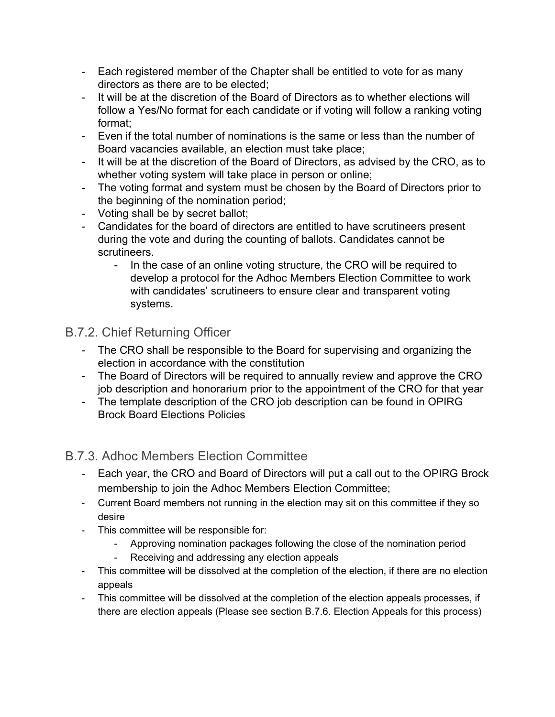- Each registered member of the Chapter shall be entitled to vote for as many directors as there are to be elected;
- It will be at the discretion of the Board of Directors as to whether elections will follow a Yes/No format for each candidate or if voting will follow a ranking voting format;
- Even if the total number of nominations is the same or less than the number of Board vacancies available, an election must take place;
- It will be at the discretion of the Board of Directors, as advised by the CRO, as to whether voting system will take place in person or online;
- The voting format and system must be chosen by the Board of Directors prior to the beginning of the nomination period;
- Voting shall be by secret ballot;
- Candidates for the board of directors are entitled to have scrutineers present during the vote and during the counting of ballots. Candidates cannot be scrutineers.
	- In the case of an online voting structure, the CRO will be required to develop a protocol for the Adhoc Members Election Committee to work with candidates' scrutineers to ensure clear and transparent voting systems.

#### <span id="page-11-0"></span>B.7.2. Chief Returning Officer

- The CRO shall be responsible to the Board for supervising and organizing the election in accordance with the constitution
- The Board of Directors will be required to annually review and approve the CRO job description and honorarium prior to the appointment of the CRO for that year
- The template description of the CRO job description can be found in OPIRG Brock Board Elections Policies

#### <span id="page-11-1"></span>B.7.3. Adhoc Members Election Committee

- Each year, the CRO and Board of Directors will put a call out to the OPIRG Brock membership to join the Adhoc Members Election Committee;
- Current Board members not running in the election may sit on this committee if they so desire
- This committee will be responsible for:
	- Approving nomination packages following the close of the nomination period
	- Receiving and addressing any election appeals
- This committee will be dissolved at the completion of the election, if there are no election appeals
- This committee will be dissolved at the completion of the election appeals processes, if there are election appeals (Please see section B.7.6. Election Appeals for this process)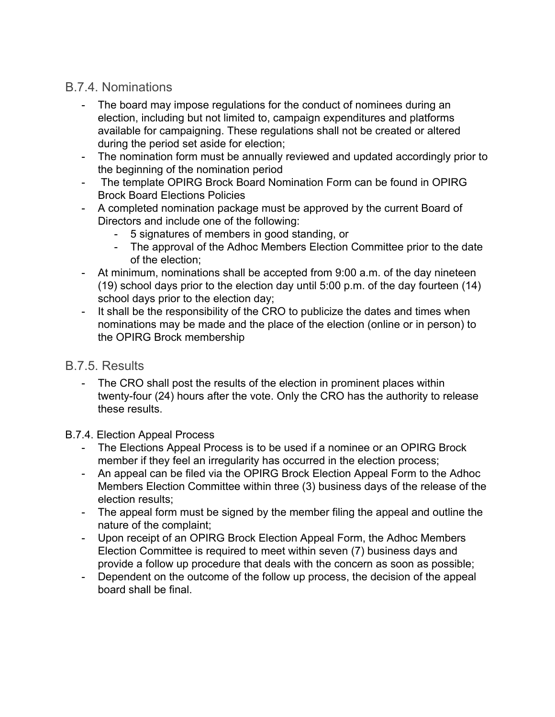#### <span id="page-12-0"></span>B.7.4. Nominations

- The board may impose regulations for the conduct of nominees during an election, including but not limited to, campaign expenditures and platforms available for campaigning. These regulations shall not be created or altered during the period set aside for election;
- The nomination form must be annually reviewed and updated accordingly prior to the beginning of the nomination period
- The template OPIRG Brock Board Nomination Form can be found in OPIRG Brock Board Elections Policies
- A completed nomination package must be approved by the current Board of Directors and include one of the following:
	- 5 signatures of members in good standing, or
	- The approval of the Adhoc Members Election Committee prior to the date of the election;
- At minimum, nominations shall be accepted from 9:00 a.m. of the day nineteen (19) school days prior to the election day until 5:00 p.m. of the day fourteen (14) school days prior to the election day;
- It shall be the responsibility of the CRO to publicize the dates and times when nominations may be made and the place of the election (online or in person) to the OPIRG Brock membership

#### <span id="page-12-1"></span>B.7.5. Results

- The CRO shall post the results of the election in prominent places within twenty-four (24) hours after the vote. Only the CRO has the authority to release these results.
- B.7.4. Election Appeal Process
	- The Elections Appeal Process is to be used if a nominee or an OPIRG Brock member if they feel an irregularity has occurred in the election process;
	- An appeal can be filed via the OPIRG Brock Election Appeal Form to the Adhoc Members Election Committee within three (3) business days of the release of the election results;
	- The appeal form must be signed by the member filing the appeal and outline the nature of the complaint;
	- Upon receipt of an OPIRG Brock Election Appeal Form, the Adhoc Members Election Committee is required to meet within seven (7) business days and provide a follow up procedure that deals with the concern as soon as possible;
	- Dependent on the outcome of the follow up process, the decision of the appeal board shall be final.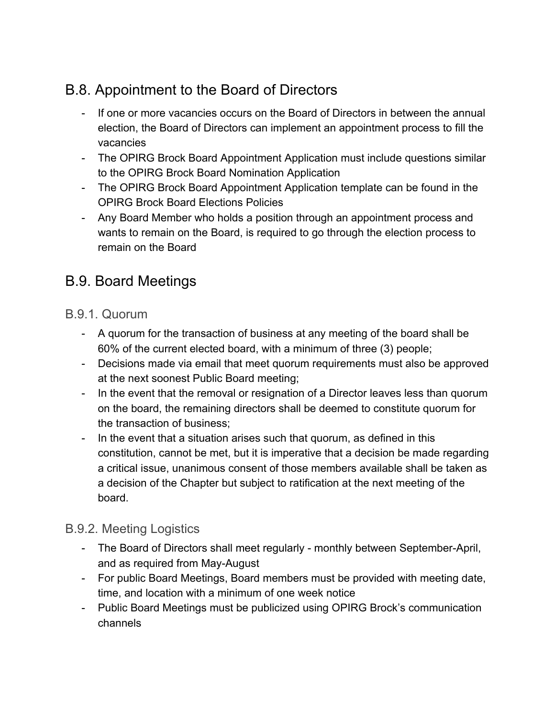### <span id="page-13-0"></span>B.8. Appointment to the Board of Directors

- If one or more vacancies occurs on the Board of Directors in between the annual election, the Board of Directors can implement an appointment process to fill the vacancies
- The OPIRG Brock Board Appointment Application must include questions similar to the OPIRG Brock Board Nomination Application
- The OPIRG Brock Board Appointment Application template can be found in the OPIRG Brock Board Elections Policies
- Any Board Member who holds a position through an appointment process and wants to remain on the Board, is required to go through the election process to remain on the Board

### <span id="page-13-1"></span>B.9. Board Meetings

#### <span id="page-13-2"></span>B.9.1. Quorum

- A quorum for the transaction of business at any meeting of the board shall be 60% of the current elected board, with a minimum of three (3) people;
- Decisions made via email that meet quorum requirements must also be approved at the next soonest Public Board meeting;
- In the event that the removal or resignation of a Director leaves less than quorum on the board, the remaining directors shall be deemed to constitute quorum for the transaction of business;
- In the event that a situation arises such that quorum, as defined in this constitution, cannot be met, but it is imperative that a decision be made regarding a critical issue, unanimous consent of those members available shall be taken as a decision of the Chapter but subject to ratification at the next meeting of the board.

#### <span id="page-13-3"></span>B.9.2. Meeting Logistics

- The Board of Directors shall meet regularly monthly between September-April, and as required from May-August
- For public Board Meetings, Board members must be provided with meeting date, time, and location with a minimum of one week notice
- Public Board Meetings must be publicized using OPIRG Brock's communication channels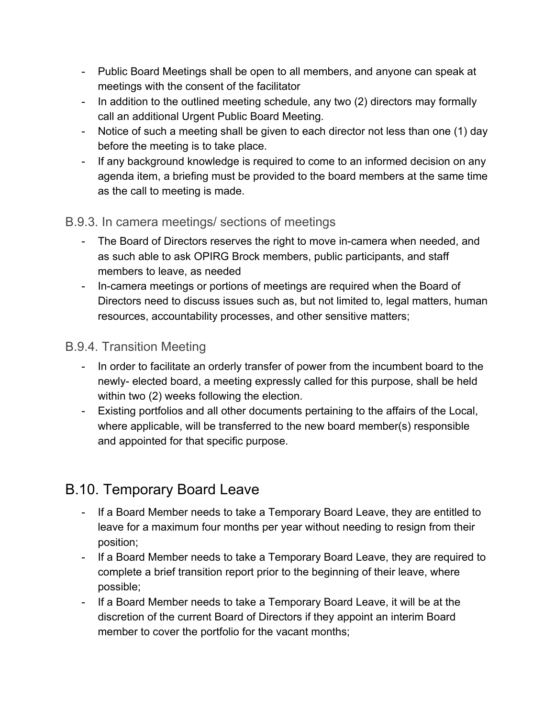- Public Board Meetings shall be open to all members, and anyone can speak at meetings with the consent of the facilitator
- In addition to the outlined meeting schedule, any two (2) directors may formally call an additional Urgent Public Board Meeting.
- Notice of such a meeting shall be given to each director not less than one (1) day before the meeting is to take place.
- If any background knowledge is required to come to an informed decision on any agenda item, a briefing must be provided to the board members at the same time as the call to meeting is made.

#### <span id="page-14-0"></span>B.9.3. In camera meetings/ sections of meetings

- The Board of Directors reserves the right to move in-camera when needed, and as such able to ask OPIRG Brock members, public participants, and staff members to leave, as needed
- In-camera meetings or portions of meetings are required when the Board of Directors need to discuss issues such as, but not limited to, legal matters, human resources, accountability processes, and other sensitive matters;

#### <span id="page-14-1"></span>B.9.4. Transition Meeting

- In order to facilitate an orderly transfer of power from the incumbent board to the newly- elected board, a meeting expressly called for this purpose, shall be held within two (2) weeks following the election.
- Existing portfolios and all other documents pertaining to the affairs of the Local, where applicable, will be transferred to the new board member(s) responsible and appointed for that specific purpose.

### <span id="page-14-2"></span>B.10. Temporary Board Leave

- If a Board Member needs to take a Temporary Board Leave, they are entitled to leave for a maximum four months per year without needing to resign from their position;
- If a Board Member needs to take a Temporary Board Leave, they are required to complete a brief transition report prior to the beginning of their leave, where possible;
- If a Board Member needs to take a Temporary Board Leave, it will be at the discretion of the current Board of Directors if they appoint an interim Board member to cover the portfolio for the vacant months;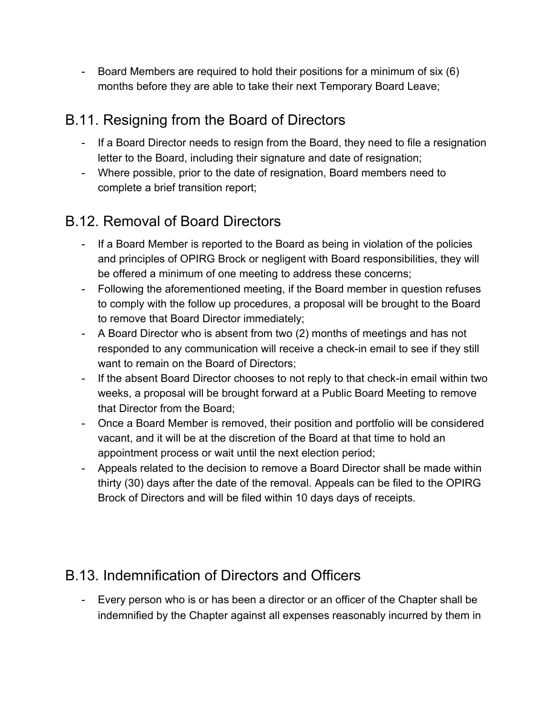- Board Members are required to hold their positions for a minimum of six (6) months before they are able to take their next Temporary Board Leave;

### <span id="page-15-0"></span>B.11. Resigning from the Board of Directors

- If a Board Director needs to resign from the Board, they need to file a resignation letter to the Board, including their signature and date of resignation;
- Where possible, prior to the date of resignation, Board members need to complete a brief transition report;

### <span id="page-15-1"></span>B.12. Removal of Board Directors

- If a Board Member is reported to the Board as being in violation of the policies and principles of OPIRG Brock or negligent with Board responsibilities, they will be offered a minimum of one meeting to address these concerns;
- Following the aforementioned meeting, if the Board member in question refuses to comply with the follow up procedures, a proposal will be brought to the Board to remove that Board Director immediately;
- A Board Director who is absent from two (2) months of meetings and has not responded to any communication will receive a check-in email to see if they still want to remain on the Board of Directors;
- If the absent Board Director chooses to not reply to that check-in email within two weeks, a proposal will be brought forward at a Public Board Meeting to remove that Director from the Board;
- Once a Board Member is removed, their position and portfolio will be considered vacant, and it will be at the discretion of the Board at that time to hold an appointment process or wait until the next election period;
- Appeals related to the decision to remove a Board Director shall be made within thirty (30) days after the date of the removal. Appeals can be filed to the OPIRG Brock of Directors and will be filed within 10 days days of receipts.

### <span id="page-15-2"></span>B.13. Indemnification of Directors and Officers

- Every person who is or has been a director or an officer of the Chapter shall be indemnified by the Chapter against all expenses reasonably incurred by them in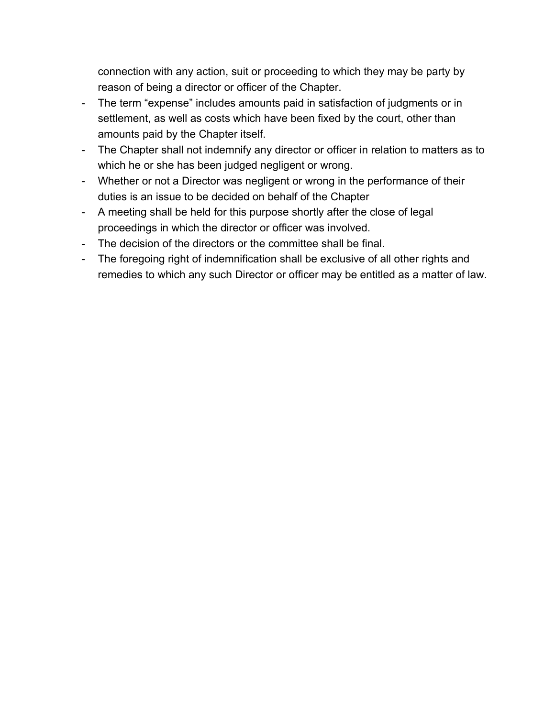connection with any action, suit or proceeding to which they may be party by reason of being a director or officer of the Chapter.

- The term "expense" includes amounts paid in satisfaction of judgments or in settlement, as well as costs which have been fixed by the court, other than amounts paid by the Chapter itself.
- The Chapter shall not indemnify any director or officer in relation to matters as to which he or she has been judged negligent or wrong.
- Whether or not a Director was negligent or wrong in the performance of their duties is an issue to be decided on behalf of the Chapter
- A meeting shall be held for this purpose shortly after the close of legal proceedings in which the director or officer was involved.
- The decision of the directors or the committee shall be final.
- The foregoing right of indemnification shall be exclusive of all other rights and remedies to which any such Director or officer may be entitled as a matter of law.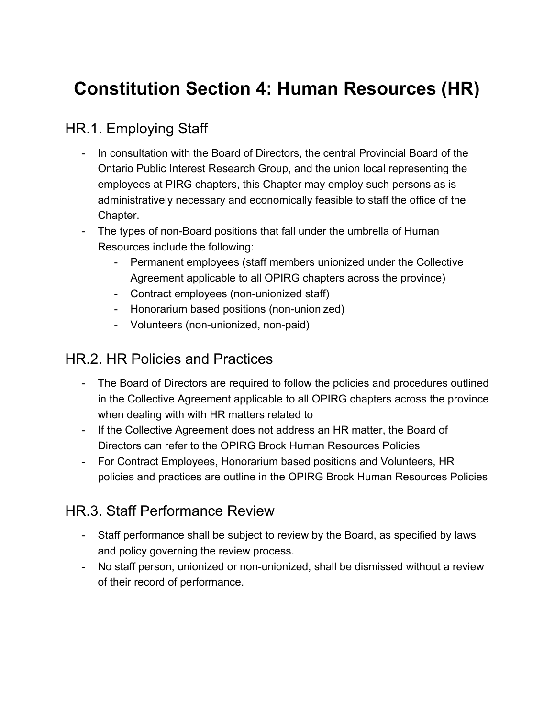## <span id="page-17-0"></span>**Constitution Section 4: Human Resources (HR)**

### <span id="page-17-1"></span>HR.1. Employing Staff

- In consultation with the Board of Directors, the central Provincial Board of the Ontario Public Interest Research Group, and the union local representing the employees at PIRG chapters, this Chapter may employ such persons as is administratively necessary and economically feasible to staff the office of the Chapter.
- The types of non-Board positions that fall under the umbrella of Human Resources include the following:
	- Permanent employees (staff members unionized under the Collective Agreement applicable to all OPIRG chapters across the province)
	- Contract employees (non-unionized staff)
	- Honorarium based positions (non-unionized)
	- Volunteers (non-unionized, non-paid)

### <span id="page-17-2"></span>HR.2. HR Policies and Practices

- The Board of Directors are required to follow the policies and procedures outlined in the Collective Agreement applicable to all OPIRG chapters across the province when dealing with with HR matters related to
- If the Collective Agreement does not address an HR matter, the Board of Directors can refer to the OPIRG Brock Human Resources Policies
- For Contract Employees, Honorarium based positions and Volunteers, HR policies and practices are outline in the OPIRG Brock Human Resources Policies

### <span id="page-17-3"></span>HR.3. Staff Performance Review

- Staff performance shall be subject to review by the Board, as specified by laws and policy governing the review process.
- No staff person, unionized or non-unionized, shall be dismissed without a review of their record of performance.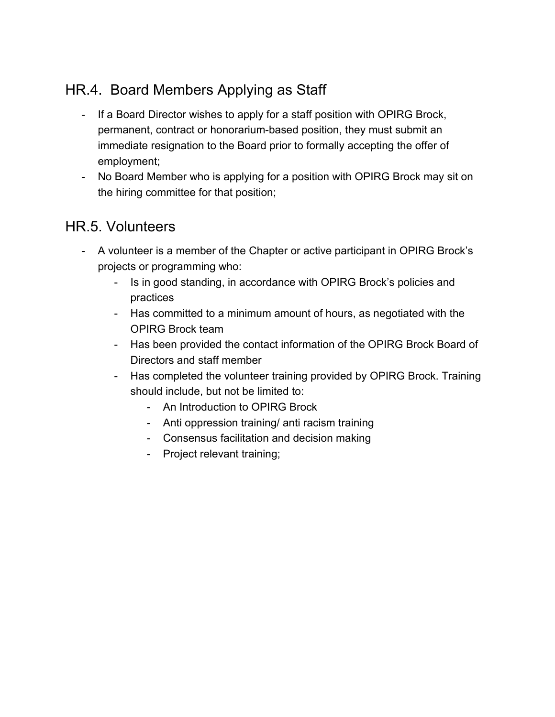### <span id="page-18-0"></span>HR.4. Board Members Applying as Staff

- If a Board Director wishes to apply for a staff position with OPIRG Brock, permanent, contract or honorarium-based position, they must submit an immediate resignation to the Board prior to formally accepting the offer of employment;
- No Board Member who is applying for a position with OPIRG Brock may sit on the hiring committee for that position;

### <span id="page-18-1"></span>HR.5. Volunteers

- A volunteer is a member of the Chapter or active participant in OPIRG Brock's projects or programming who:
	- Is in good standing, in accordance with OPIRG Brock's policies and practices
	- Has committed to a minimum amount of hours, as negotiated with the OPIRG Brock team
	- Has been provided the contact information of the OPIRG Brock Board of Directors and staff member
	- Has completed the volunteer training provided by OPIRG Brock. Training should include, but not be limited to:
		- An Introduction to OPIRG Brock
		- Anti oppression training/ anti racism training
		- Consensus facilitation and decision making
		- Project relevant training;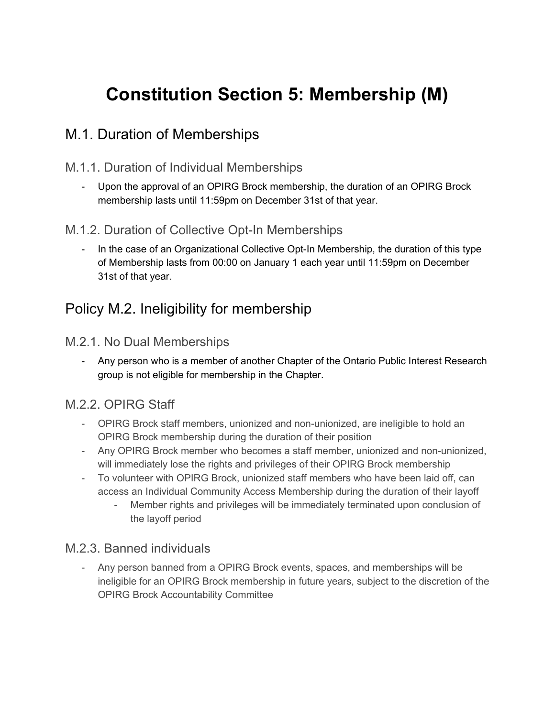## <span id="page-19-0"></span>**Constitution Section 5: Membership (M)**

### <span id="page-19-1"></span>M.1. Duration of Memberships

#### <span id="page-19-2"></span>M.1.1. Duration of Individual Memberships

- Upon the approval of an OPIRG Brock membership, the duration of an OPIRG Brock membership lasts until 11:59pm on December 31st of that year.

#### <span id="page-19-3"></span>M.1.2. Duration of Collective Opt-In Memberships

In the case of an Organizational Collective Opt-In Membership, the duration of this type of Membership lasts from 00:00 on January 1 each year until 11:59pm on December 31st of that year.

### <span id="page-19-4"></span>Policy M.2. Ineligibility for membership

#### <span id="page-19-5"></span>M.2.1. No Dual Memberships

- Any person who is a member of another Chapter of the Ontario Public Interest Research group is not eligible for membership in the Chapter.

#### <span id="page-19-6"></span>M.2.2. OPIRG Staff

- OPIRG Brock staff members, unionized and non-unionized, are ineligible to hold an OPIRG Brock membership during the duration of their position
- Any OPIRG Brock member who becomes a staff member, unionized and non-unionized, will immediately lose the rights and privileges of their OPIRG Brock membership
- To volunteer with OPIRG Brock, unionized staff members who have been laid off, can access an Individual Community Access Membership during the duration of their layoff
	- Member rights and privileges will be immediately terminated upon conclusion of the layoff period

#### <span id="page-19-7"></span>M.2.3. Banned individuals

- Any person banned from a OPIRG Brock events, spaces, and memberships will be ineligible for an OPIRG Brock membership in future years, subject to the discretion of the OPIRG Brock Accountability Committee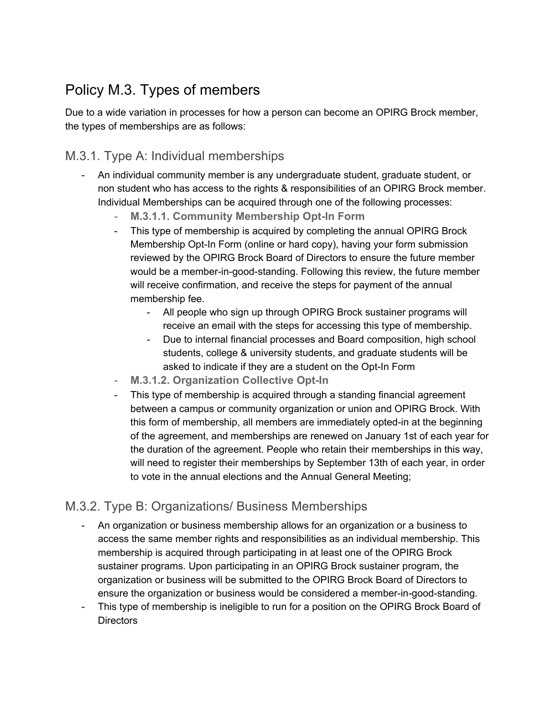### <span id="page-20-0"></span>Policy M.3. Types of members

Due to a wide variation in processes for how a person can become an OPIRG Brock member, the types of memberships are as follows:

#### <span id="page-20-1"></span>M.3.1. Type A: Individual memberships

- <span id="page-20-2"></span>- An individual community member is any undergraduate student, graduate student, or non student who has access to the rights & responsibilities of an OPIRG Brock member. Individual Memberships can be acquired through one of the following processes:
	- **M.3.1.1. Community Membership Opt-In Form**
	- This type of membership is acquired by completing the annual OPIRG Brock Membership Opt-In Form (online or hard copy), having your form submission reviewed by the OPIRG Brock Board of Directors to ensure the future member would be a member-in-good-standing. Following this review, the future member will receive confirmation, and receive the steps for payment of the annual membership fee.
		- All people who sign up through OPIRG Brock sustainer programs will receive an email with the steps for accessing this type of membership.
		- Due to internal financial processes and Board composition, high school students, college & university students, and graduate students will be asked to indicate if they are a student on the Opt-In Form
	- **M.3.1.2. Organization Collective Opt-In**
	- This type of membership is acquired through a standing financial agreement between a campus or community organization or union and OPIRG Brock. With this form of membership, all members are immediately opted-in at the beginning of the agreement, and memberships are renewed on January 1st of each year for the duration of the agreement. People who retain their memberships in this way, will need to register their memberships by September 13th of each year, in order to vote in the annual elections and the Annual General Meeting;

#### <span id="page-20-4"></span><span id="page-20-3"></span>M.3.2. Type B: Organizations/ Business Memberships

- An organization or business membership allows for an organization or a business to access the same member rights and responsibilities as an individual membership. This membership is acquired through participating in at least one of the OPIRG Brock sustainer programs. Upon participating in an OPIRG Brock sustainer program, the organization or business will be submitted to the OPIRG Brock Board of Directors to ensure the organization or business would be considered a member-in-good-standing.
- This type of membership is ineligible to run for a position on the OPIRG Brock Board of **Directors**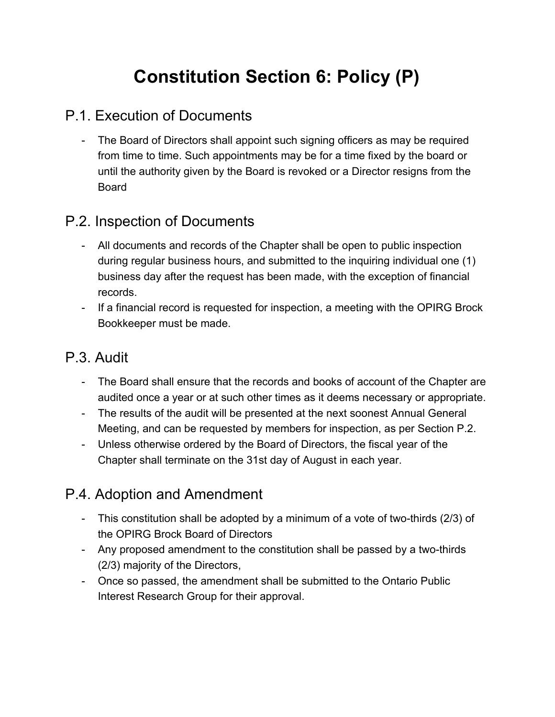## **Constitution Section 6: Policy (P)**

### <span id="page-21-0"></span>P.1. Execution of Documents

- The Board of Directors shall appoint such signing officers as may be required from time to time. Such appointments may be for a time fixed by the board or until the authority given by the Board is revoked or a Director resigns from the Board

### <span id="page-21-1"></span>P.2. Inspection of Documents

- All documents and records of the Chapter shall be open to public inspection during regular business hours, and submitted to the inquiring individual one (1) business day after the request has been made, with the exception of financial records.
- If a financial record is requested for inspection, a meeting with the OPIRG Brock Bookkeeper must be made.

### <span id="page-21-2"></span>P.3. Audit

- The Board shall ensure that the records and books of account of the Chapter are audited once a year or at such other times as it deems necessary or appropriate.
- The results of the audit will be presented at the next soonest Annual General Meeting, and can be requested by members for inspection, as per Section P.2.
- Unless otherwise ordered by the Board of Directors, the fiscal year of the Chapter shall terminate on the 31st day of August in each year.

### <span id="page-21-3"></span>P.4. Adoption and Amendment

- This constitution shall be adopted by a minimum of a vote of two-thirds (2/3) of the OPIRG Brock Board of Directors
- Any proposed amendment to the constitution shall be passed by a two-thirds (2/3) majority of the Directors,
- Once so passed, the amendment shall be submitted to the Ontario Public Interest Research Group for their approval.